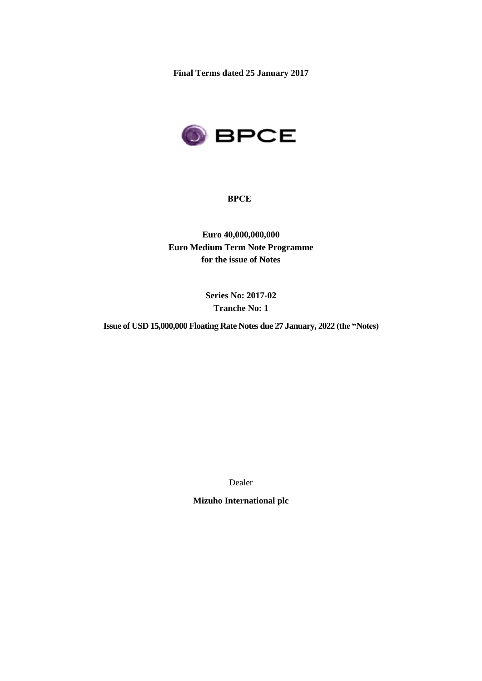**Final Terms dated 25 January 2017**



# **BPCE**

**Euro 40,000,000,000 Euro Medium Term Note Programme for the issue of Notes**

> **Series No: 2017-02 Tranche No: 1**

**Issue of USD 15,000,000 Floating Rate Notes due 27 January, 2022 (the "Notes)**

Dealer

**Mizuho International plc**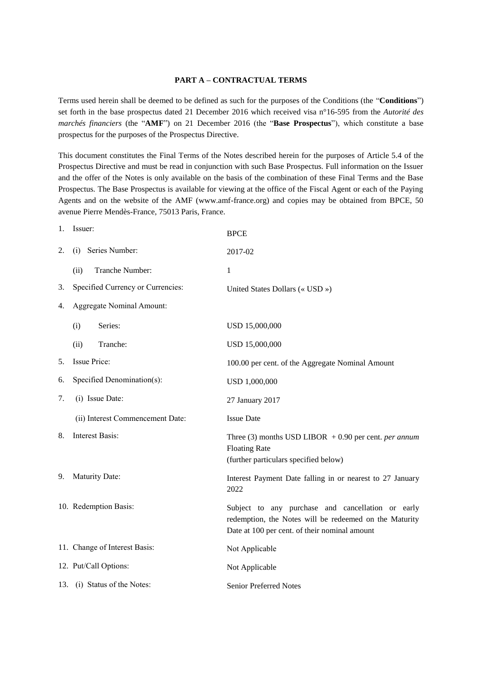#### **PART A – CONTRACTUAL TERMS**

Terms used herein shall be deemed to be defined as such for the purposes of the Conditions (the "**Conditions**") set forth in the base prospectus dated 21 December 2016 which received visa n°16-595 from the *Autorité des marchés financiers* (the "**AMF**") on 21 December 2016 (the "**Base Prospectus**"), which constitute a base prospectus for the purposes of the Prospectus Directive.

This document constitutes the Final Terms of the Notes described herein for the purposes of Article 5.4 of the Prospectus Directive and must be read in conjunction with such Base Prospectus. Full information on the Issuer and the offer of the Notes is only available on the basis of the combination of these Final Terms and the Base Prospectus. The Base Prospectus is available for viewing at the office of the Fiscal Agent or each of the Paying Agents and on the website of the AMF (www.amf-france.org) and copies may be obtained from BPCE, 50 avenue Pierre Mendès-France, 75013 Paris, France.

|    | 1. Issuer:                        | <b>BPCE</b>                                                                                                                                                  |
|----|-----------------------------------|--------------------------------------------------------------------------------------------------------------------------------------------------------------|
| 2. | (i) Series Number:                | 2017-02                                                                                                                                                      |
|    | Tranche Number:<br>(ii)           | 1                                                                                                                                                            |
| 3. | Specified Currency or Currencies: | United States Dollars (« USD »)                                                                                                                              |
| 4. | <b>Aggregate Nominal Amount:</b>  |                                                                                                                                                              |
|    | Series:<br>(i)                    | USD 15,000,000                                                                                                                                               |
|    | Tranche:<br>(ii)                  | USD 15,000,000                                                                                                                                               |
| 5. | Issue Price:                      | 100.00 per cent. of the Aggregate Nominal Amount                                                                                                             |
| 6. | Specified Denomination(s):        | USD 1,000,000                                                                                                                                                |
| 7. | (i) Issue Date:                   | 27 January 2017                                                                                                                                              |
|    | (ii) Interest Commencement Date:  | <b>Issue Date</b>                                                                                                                                            |
| 8. | <b>Interest Basis:</b>            | Three (3) months USD LIBOR $+0.90$ per cent. <i>per annum</i><br><b>Floating Rate</b><br>(further particulars specified below)                               |
| 9. | Maturity Date:                    | Interest Payment Date falling in or nearest to 27 January<br>2022                                                                                            |
|    | 10. Redemption Basis:             | Subject to any purchase and cancellation or early<br>redemption, the Notes will be redeemed on the Maturity<br>Date at 100 per cent. of their nominal amount |
|    | 11. Change of Interest Basis:     | Not Applicable                                                                                                                                               |
|    | 12. Put/Call Options:             | Not Applicable                                                                                                                                               |
|    | 13. (i) Status of the Notes:      | <b>Senior Preferred Notes</b>                                                                                                                                |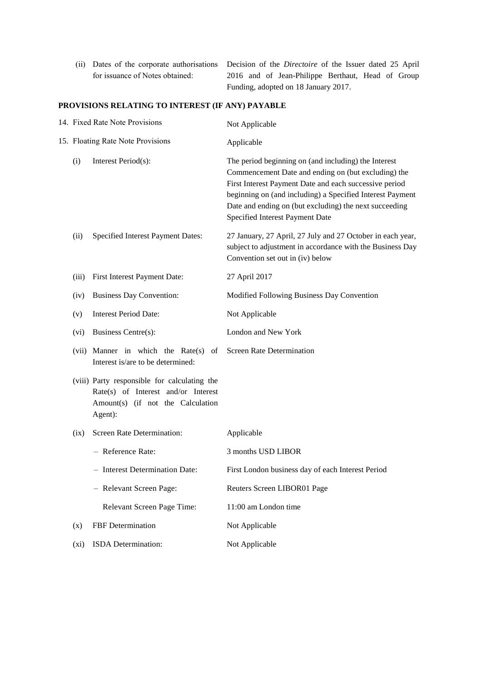(ii) Dates of the corporate authorisations Decision of the *Directoire* of the Issuer dated 25 April for issuance of Notes obtained: 2016 and of Jean-Philippe Berthaut, Head of Group Funding, adopted on 18 January 2017.

# **PROVISIONS RELATING TO INTEREST (IF ANY) PAYABLE**

| 14. Fixed Rate Note Provisions    |                                                                                                                                     | Not Applicable                                                                                                                                                                                                                                                                                                                  |  |
|-----------------------------------|-------------------------------------------------------------------------------------------------------------------------------------|---------------------------------------------------------------------------------------------------------------------------------------------------------------------------------------------------------------------------------------------------------------------------------------------------------------------------------|--|
| 15. Floating Rate Note Provisions |                                                                                                                                     | Applicable                                                                                                                                                                                                                                                                                                                      |  |
| (i)                               | Interest Period(s):                                                                                                                 | The period beginning on (and including) the Interest<br>Commencement Date and ending on (but excluding) the<br>First Interest Payment Date and each successive period<br>beginning on (and including) a Specified Interest Payment<br>Date and ending on (but excluding) the next succeeding<br>Specified Interest Payment Date |  |
| (ii)                              | Specified Interest Payment Dates:                                                                                                   | 27 January, 27 April, 27 July and 27 October in each year,<br>subject to adjustment in accordance with the Business Day<br>Convention set out in (iv) below                                                                                                                                                                     |  |
| (iii)                             | First Interest Payment Date:                                                                                                        | 27 April 2017                                                                                                                                                                                                                                                                                                                   |  |
| (iv)                              | <b>Business Day Convention:</b>                                                                                                     | Modified Following Business Day Convention                                                                                                                                                                                                                                                                                      |  |
| (v)                               | <b>Interest Period Date:</b>                                                                                                        | Not Applicable                                                                                                                                                                                                                                                                                                                  |  |
| (vi)                              | Business Centre(s):                                                                                                                 | London and New York                                                                                                                                                                                                                                                                                                             |  |
|                                   | (vii) Manner in which the Rate(s) of<br>Interest is/are to be determined:                                                           | <b>Screen Rate Determination</b>                                                                                                                                                                                                                                                                                                |  |
|                                   | (viii) Party responsible for calculating the<br>Rate(s) of Interest and/or Interest<br>Amount(s) (if not the Calculation<br>Agent): |                                                                                                                                                                                                                                                                                                                                 |  |
| (ix)                              | Screen Rate Determination:                                                                                                          | Applicable                                                                                                                                                                                                                                                                                                                      |  |
|                                   | - Reference Rate:                                                                                                                   | 3 months USD LIBOR                                                                                                                                                                                                                                                                                                              |  |
|                                   | - Interest Determination Date:                                                                                                      | First London business day of each Interest Period                                                                                                                                                                                                                                                                               |  |
|                                   | - Relevant Screen Page:                                                                                                             | Reuters Screen LIBOR01 Page                                                                                                                                                                                                                                                                                                     |  |
|                                   | Relevant Screen Page Time:                                                                                                          | 11:00 am London time                                                                                                                                                                                                                                                                                                            |  |
| (x)                               | FBF Determination                                                                                                                   | Not Applicable                                                                                                                                                                                                                                                                                                                  |  |
| (xi)                              | ISDA Determination:                                                                                                                 | Not Applicable                                                                                                                                                                                                                                                                                                                  |  |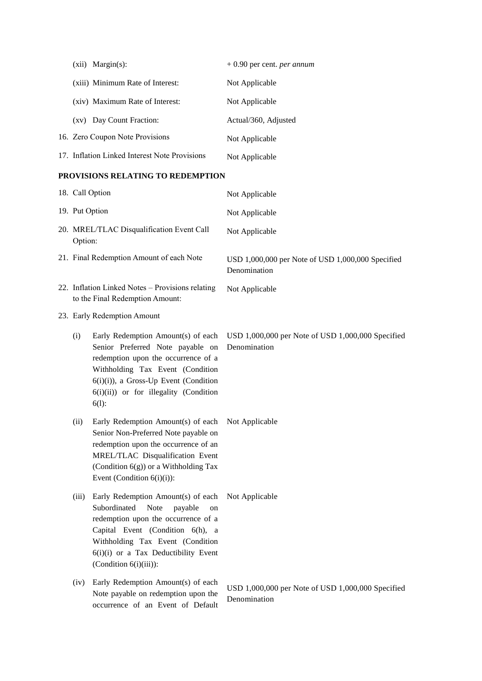| $(xii)$ Margin $(s)$ :                        | $+0.90$ per cent. <i>per annum</i> |
|-----------------------------------------------|------------------------------------|
| (xiii) Minimum Rate of Interest:              | Not Applicable                     |
| (xiv) Maximum Rate of Interest:               | Not Applicable                     |
| (xv) Day Count Fraction:                      | Actual/360, Adjusted               |
| 16. Zero Coupon Note Provisions               | Not Applicable                     |
| 17. Inflation Linked Interest Note Provisions | Not Applicable                     |

# **PROVISIONS RELATING TO REDEMPTION**

|                                                                                     | 18. Call Option                                                                                                                                                                                                                                                 | Not Applicable                                                    |  |
|-------------------------------------------------------------------------------------|-----------------------------------------------------------------------------------------------------------------------------------------------------------------------------------------------------------------------------------------------------------------|-------------------------------------------------------------------|--|
| 19. Put Option                                                                      |                                                                                                                                                                                                                                                                 | Not Applicable                                                    |  |
| 20. MREL/TLAC Disqualification Event Call<br>Option:                                |                                                                                                                                                                                                                                                                 | Not Applicable                                                    |  |
| 21. Final Redemption Amount of each Note                                            |                                                                                                                                                                                                                                                                 | USD 1,000,000 per Note of USD 1,000,000 Specified<br>Denomination |  |
| 22. Inflation Linked Notes - Provisions relating<br>to the Final Redemption Amount: |                                                                                                                                                                                                                                                                 | Not Applicable                                                    |  |
| 23. Early Redemption Amount                                                         |                                                                                                                                                                                                                                                                 |                                                                   |  |
| (i)                                                                                 | Early Redemption Amount(s) of each<br>Senior Preferred Note payable on<br>redemption upon the occurrence of a<br>Withholding Tax Event (Condition<br>6(i)(i)), a Gross-Up Event (Condition<br>$6(i)(ii)$ or for illegality (Condition<br>$6(1)$ :               | USD 1,000,000 per Note of USD 1,000,000 Specified<br>Denomination |  |
| (ii)                                                                                | Early Redemption Amount(s) of each<br>Senior Non-Preferred Note payable on<br>redemption upon the occurrence of an<br>MREL/TLAC Disqualification Event<br>(Condition 6(g)) or a Withholding Tax<br>Event (Condition $6(i)(i)$ ):                                | Not Applicable                                                    |  |
| (iii)                                                                               | Early Redemption Amount(s) of each<br>Subordinated<br>Note<br>payable<br>on<br>redemption upon the occurrence of a<br>Capital Event (Condition 6(h), a<br>Withholding Tax Event (Condition<br>6(i)(i) or a Tax Deductibility Event<br>(Condition $6(i)(iii)$ ): | Not Applicable                                                    |  |
| (iv)                                                                                | Early Redemption Amount(s) of each<br>Note payable on redemption upon the<br>occurrence of an Event of Default                                                                                                                                                  | USD 1,000,000 per Note of USD 1,000,000 Specified<br>Denomination |  |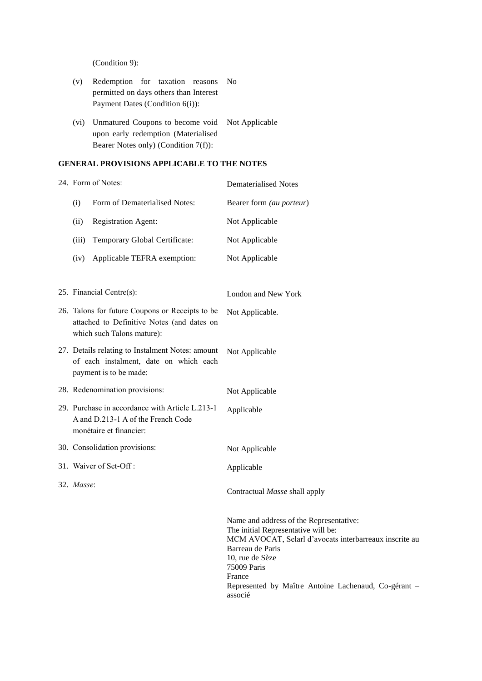(Condition 9):

- (v) Redemption for taxation reasons No permitted on days others than Interest Payment Dates (Condition 6(i)):
- (vi) Unmatured Coupons to become void Not Applicable upon early redemption (Materialised Bearer Notes only) (Condition 7(f)):

### **GENERAL PROVISIONS APPLICABLE TO THE NOTES**

| 24. Form of Notes:                                                                                                          |                                                                                                                  | <b>Dematerialised Notes</b>                                                                                                                                                                                                                                      |  |
|-----------------------------------------------------------------------------------------------------------------------------|------------------------------------------------------------------------------------------------------------------|------------------------------------------------------------------------------------------------------------------------------------------------------------------------------------------------------------------------------------------------------------------|--|
| (i)                                                                                                                         | Form of Dematerialised Notes:                                                                                    | Bearer form (au porteur)                                                                                                                                                                                                                                         |  |
| (ii)                                                                                                                        | Registration Agent:                                                                                              | Not Applicable                                                                                                                                                                                                                                                   |  |
| (iii)                                                                                                                       | Temporary Global Certificate:                                                                                    | Not Applicable                                                                                                                                                                                                                                                   |  |
| (iv)                                                                                                                        | Applicable TEFRA exemption:                                                                                      | Not Applicable                                                                                                                                                                                                                                                   |  |
|                                                                                                                             |                                                                                                                  |                                                                                                                                                                                                                                                                  |  |
| 25. Financial Centre(s):                                                                                                    |                                                                                                                  | London and New York                                                                                                                                                                                                                                              |  |
| 26. Talons for future Coupons or Receipts to be<br>attached to Definitive Notes (and dates on<br>which such Talons mature): |                                                                                                                  | Not Applicable.                                                                                                                                                                                                                                                  |  |
| 27. Details relating to Instalment Notes: amount<br>of each instalment, date on which each<br>payment is to be made:        |                                                                                                                  | Not Applicable                                                                                                                                                                                                                                                   |  |
|                                                                                                                             | 28. Redenomination provisions:                                                                                   | Not Applicable                                                                                                                                                                                                                                                   |  |
|                                                                                                                             | 29. Purchase in accordance with Article L.213-1<br>A and D.213-1 A of the French Code<br>monétaire et financier: | Applicable                                                                                                                                                                                                                                                       |  |
|                                                                                                                             | 30. Consolidation provisions:                                                                                    | Not Applicable                                                                                                                                                                                                                                                   |  |
|                                                                                                                             | 31. Waiver of Set-Off:                                                                                           | Applicable                                                                                                                                                                                                                                                       |  |
| 32. Masse:                                                                                                                  |                                                                                                                  | Contractual Masse shall apply                                                                                                                                                                                                                                    |  |
|                                                                                                                             |                                                                                                                  | Name and address of the Representative:<br>The initial Representative will be:<br>MCM AVOCAT, Selarl d'avocats interbarreaux inscrite au<br>Barreau de Paris<br>10, rue de Sèze<br>75009 Paris<br>France<br>Represented by Maître Antoine Lachenaud, Co-gérant - |  |

associé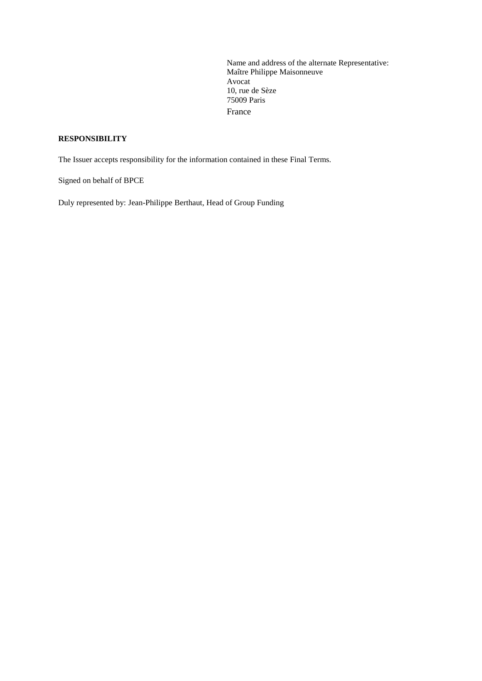Name and address of the alternate Representative: Maître Philippe Maisonneuve Avocat 10, rue de Sèze 75009 Paris France

# **RESPONSIBILITY**

The Issuer accepts responsibility for the information contained in these Final Terms.

Signed on behalf of BPCE

Duly represented by: Jean-Philippe Berthaut, Head of Group Funding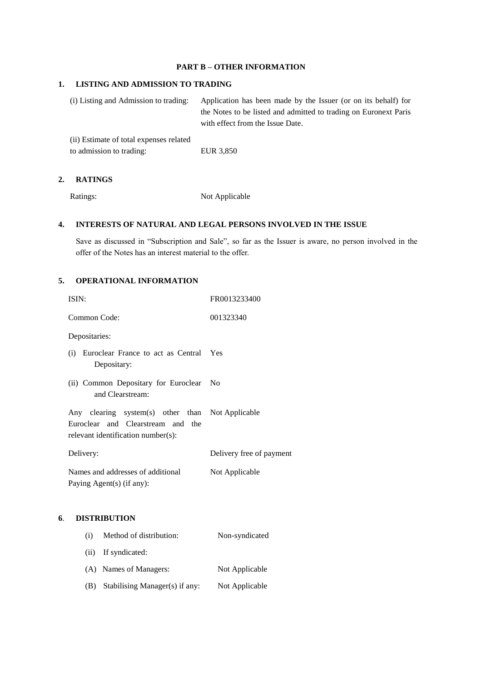### **PART B – OTHER INFORMATION**

#### **1. LISTING AND ADMISSION TO TRADING**

(i) Listing and Admission to trading: Application has been made by the Issuer (or on its behalf) for the Notes to be listed and admitted to trading on Euronext Paris with effect from the Issue Date.

(ii) Estimate of total expenses related to admission to trading: EUR 3,850

#### **2. RATINGS**

Ratings: Not Applicable

#### **4. INTERESTS OF NATURAL AND LEGAL PERSONS INVOLVED IN THE ISSUE**

Save as discussed in "Subscription and Sale", so far as the Issuer is aware, no person involved in the offer of the Notes has an interest material to the offer.

### **5. OPERATIONAL INFORMATION**

| ISIN:                                                                                                                       | FR0013233400             |
|-----------------------------------------------------------------------------------------------------------------------------|--------------------------|
| Common Code:                                                                                                                | 001323340                |
| Depositaries:                                                                                                               |                          |
| (i) Euroclear France to act as Central Yes<br>Depositary:                                                                   |                          |
| (ii) Common Depositary for Euroclear No<br>and Clearstream:                                                                 |                          |
| Any clearing system(s) other than Not Applicable<br>Euroclear and Clearstream and the<br>relevant identification number(s): |                          |
| Delivery:                                                                                                                   | Delivery free of payment |
| Names and addresses of additional<br>Paying Agent(s) (if any):                                                              | Not Applicable           |

#### **6**. **DISTRIBUTION**

| (i) | Method of distribution:        | Non-syndicated |
|-----|--------------------------------|----------------|
|     | (ii) If syndicated:            |                |
|     | (A) Names of Managers:         | Not Applicable |
| (B) | Stabilising Manager(s) if any: | Not Applicable |